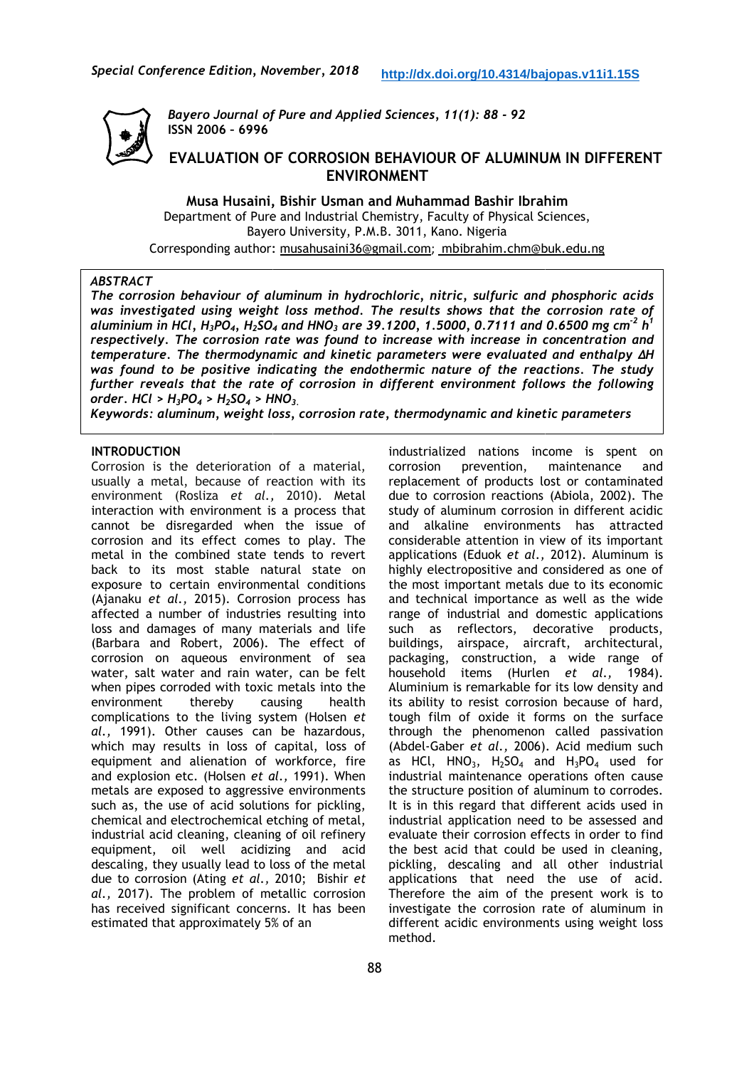

erence Edition, November, 2018 <u>http://dx.doi.org/10.4314</u><br>Bayero Journal of Pure and Applied Sciences, 11(1): 88 - 92 **ISSN 2006 – 6996**

# **EVALUATION OF CORROSION BEHAVIOUR OF ALUMINUM IN DIFFERENT ENVIRONMENT**

**Musa Husaini, Bishir Usman and Muhammad Bashir Ibrahim** Department of Pure and Industrial Chemistry, Faculty of Physical Sciences, Bayero University, P.M.B. 3011, Kano. Nigeria Corresponding author: musahusaini36@gmail.com; mbibrahim.chm@buk.edu.ng

#### *ABSTRACT*

*The corrosion behaviour of aluminum in hydrochloric, nitric, sulfuric and phosphoric acids was investigated using weight loss method. The results shows that the corrosion rate of aluminium in HCl, H3PO4, H2SO<sup>4</sup> and HNO<sup>3</sup> are 39.1200, 1.5000, 0.7111 and 0.6500 mg cm -2 h<sup>1</sup> respectively. The corrosion rate was found to increase with increase in concentration and temperature. The thermodynamic and kinetic parameters were evaluated and enthalpy ΔH was found to be positive indicating the endothermic nature of the reactions. The study further reveals that the rate of corrosion in different environment follows the following order. HCl > H3PO4 > H2SO<sup>4</sup> > HNO 3.*  , Faculty of Physical Sciences,<br>
1, Kano. Nigeria<br>
1, Kano. Nigeria<br>
1, mitric, sulfuric and phosphoric acids<br>
1.5000, 0.7111 and 0.6500 mg cm<sup>-2</sup> h<sup>1</sup><br>
1.5000, 0.7111 and 0.6500 mg cm<sup>-2</sup> h<sup>1</sup><br>
1.5000, 0.7111 and 0.6500

*Keywords: aluminum, weight loss, corrosion rate, thermodynamic and kinetic parameters* 

### **INTRODUCTION**

Corrosion is the deterioration of a material, usually a metal, because of reaction with its environment (Rosliza *et al.,*  2010). Metal interaction with environment is a process that cannot be disregarded when the issue of corrosion and its effect comes to play. The metal in the combined state tends to revert back to its most stable natural state on exposure to certain environmental conditions (Ajanaku *et al.,* 2015). Corrosion process has affected a number of industries resulting into loss and damages of many materials and life (Barbara and Robert, 2006). The effect of corrosion on aqueous environment of sea (Ajanaku *et al.*, 2015). Corrosion process has<br>affected a number of industries resulting into<br>loss and damages of many materials and life<br>(Barbara and Robert, 2006). The effect of<br>corrosion on aqueous environment of sea<br>w when pipes corroded with toxic metals into the environment thereby causing health complications to the living system (Holsen g *et al.,* 1991). Other causes can be hazardous, which may results in loss of capital, loss of equipment and alienation of workforce, fire and explosion etc. (Holsen *et al.,*  1991). When metals are exposed to aggressive environments such as, the use of acid solutions for pickling, chemical and electrochemical etching of metal, industrial acid cleaning, cleaning of oil refinery equipment, oil well acidizing and acid descaling, they usually lead to loss of the metal descaling, they usually lead to loss of the metal<br>due to corrosion (Ating *et al.*, 2010; Bishir *et al.,* 2017). The problem of metallic corrosion has received significant concerns. It has been estimated that approximately 5% of an

industrialized nations income is spent on corrosion prevention, maintenance and replacement of products lost or contaminated due to corrosion reactions (Abiola, 2002). The study of aluminum corrosion in different acidic and alkaline environments has attracted considerable attention in view of its important applications (Eduok *et al.,* 2012). Aluminum is highly electropositive and considered as one of the most important metals due to its economic and technical importance as well as the wide range of industrial and domestic applications such as reflectors, decorative products, buildings, airspace, aircraft, architectural, packaging, construction, a wide range of household items (Hurlen *et al.,* 1984). Aluminium is remarkable for its low density and its ability to resist corrosion because of hard, tough film of oxide it forms on the surface through the phenomenon called passivation (Abdel-Gaber *et al.,* 2006). Acid medium such as HCl,  $HNO<sub>3</sub>$ , H<sub>2</sub>SO<sub>4</sub> and H<sub>3</sub>PO<sub>4</sub> used for industrial maintenance operations often cause the structure position of aluminum to c corrodes. It is in this regard that different acids used in industrial application need to be assessed and evaluate their corrosion effects in order to find the best acid that could be used in cleaning, pickling, descaling and all other industrial applications that need the use of acid. Therefore the aim of the present work is to investigate the corrosion rate of aluminum in different acidic environments using weight loss method. **http://dx.doi.org/10.4314/bajopas.v11i1.15S**<br>
Sciences, 11(1): 88 - 92<br>
EHAVIOUR OF ALUMINUM IN DIFFERE<br>
NMENT<br>
mistry, Faculty of Physical Sciences,<br>
mistry, Faculty of Physical Sciences,<br>
B. 3011, Kano. Nigeria<br>
mail..c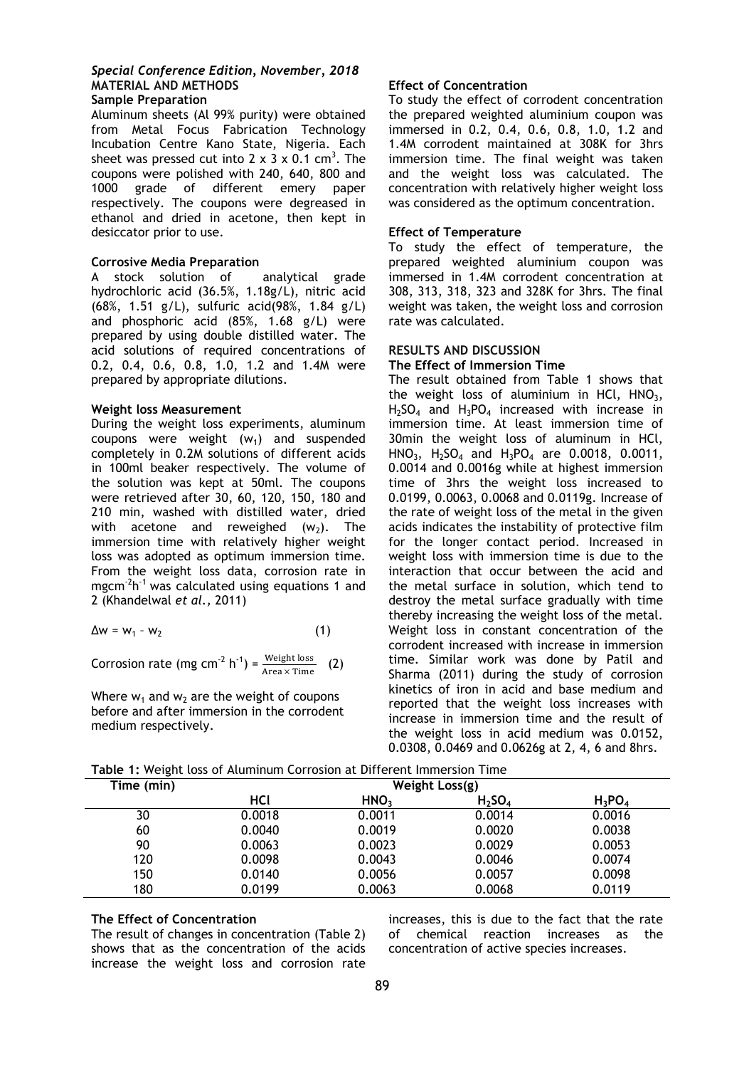# *Special Conference Edition, November, 2018* **MATERIAL AND METHODS**

# **Sample Preparation**

Aluminum sheets (Al 99% purity) were obtained from Metal Focus Fabrication Technology Incubation Centre Kano State, Nigeria. Each sheet was pressed cut into 2 x 3 x 0.1 cm<sup>3</sup>. The coupons were polished with 240, 640, 800 and 1000 grade of different emery paper respectively. The coupons were degreased in ethanol and dried in acetone, then kept in desiccator prior to use.

# **Corrosive Media Preparation**

A stock solution of analytical grade hydrochloric acid (36.5%, 1.18g/L), nitric acid (68%, 1.51 g/L), sulfuric acid(98%, 1.84 g/L) and phosphoric acid (85%, 1.68 g/L) were prepared by using double distilled water. The acid solutions of required concentrations of 0.2, 0.4, 0.6, 0.8, 1.0, 1.2 and 1.4M were prepared by appropriate dilutions.

### **Weight loss Measurement**

During the weight loss experiments, aluminum coupons were weight  $(w_1)$  and suspended completely in 0.2M solutions of different acids in 100ml beaker respectively. The volume of the solution was kept at 50ml. The coupons were retrieved after 30, 60, 120, 150, 180 and 210 min, washed with distilled water, dried with acetone and reweighed  $(w_2)$ . The immersion time with relatively higher weight loss was adopted as optimum immersion time. From the weight loss data, corrosion rate in mgcm<sup>-2</sup>h<sup>-1</sup> was calculated using equations 1 and 2 (Khandelwal *et al.,* 2011)

$$
\Delta w = w_1 - w_2 \tag{1}
$$

Corrosion rate (mg cm<sup>-2</sup> h<sup>-1</sup>) =  $\frac{\text{Weight loss}}{\text{Area} \times \text{Time}}$ (2)

Where  $w_1$  and  $w_2$  are the weight of coupons before and after immersion in the corrodent medium respectively.

# **Effect of Concentration**

To study the effect of corrodent concentration the prepared weighted aluminium coupon was immersed in 0.2, 0.4, 0.6, 0.8, 1.0, 1.2 and 1.4M corrodent maintained at 308K for 3hrs immersion time. The final weight was taken and the weight loss was calculated. The concentration with relatively higher weight loss was considered as the optimum concentration.

# **Effect of Temperature**

To study the effect of temperature, the prepared weighted aluminium coupon was immersed in 1.4M corrodent concentration at 308, 313, 318, 323 and 328K for 3hrs. The final weight was taken, the weight loss and corrosion rate was calculated.

# **RESULTS AND DISCUSSION**

# **The Effect of Immersion Time**

The result obtained from Table 1 shows that the weight loss of aluminium in HCl,  $HNO<sub>3</sub>$ ,  $H_2SO_4$  and  $H_3PO_4$  increased with increase in immersion time. At least immersion time of 30min the weight loss of aluminum in HCl, HNO<sub>3</sub>, H<sub>2</sub>SO<sub>4</sub> and H<sub>3</sub>PO<sub>4</sub> are 0.0018, 0.0011, 0.0014 and 0.0016g while at highest immersion time of 3hrs the weight loss increased to 0.0199, 0.0063, 0.0068 and 0.0119g. Increase of the rate of weight loss of the metal in the given acids indicates the instability of protective film for the longer contact period. Increased in weight loss with immersion time is due to the interaction that occur between the acid and the metal surface in solution, which tend to destroy the metal surface gradually with time thereby increasing the weight loss of the metal. Weight loss in constant concentration of the corrodent increased with increase in immersion time. Similar work was done by Patil and Sharma (2011) during the study of corrosion kinetics of iron in acid and base medium and reported that the weight loss increases with increase in immersion time and the result of the weight loss in acid medium was 0.0152, 0.0308, 0.0469 and 0.0626g at 2, 4, 6 and 8hrs.

| Time (min) | Weight Loss(g) |                  |           |           |  |  |
|------------|----------------|------------------|-----------|-----------|--|--|
|            | HCl            | HNO <sub>3</sub> | $H_2SO_4$ | $H_3PO_4$ |  |  |
| 30         | 0.0018         | 0.0011           | 0.0014    | 0.0016    |  |  |
| 60         | 0.0040         | 0.0019           | 0.0020    | 0.0038    |  |  |
| 90         | 0.0063         | 0.0023           | 0.0029    | 0.0053    |  |  |
| 120        | 0.0098         | 0.0043           | 0.0046    | 0.0074    |  |  |
| 150        | 0.0140         | 0.0056           | 0.0057    | 0.0098    |  |  |
| 180        | 0.0199         | 0.0063           | 0.0068    | 0.0119    |  |  |

**Table 1:** Weight loss of Aluminum Corrosion at Different Immersion Time

# **The Effect of Concentration**

The result of changes in concentration (Table 2) shows that as the concentration of the acids increase the weight loss and corrosion rate increases, this is due to the fact that the rate of chemical reaction increases as the concentration of active species increases.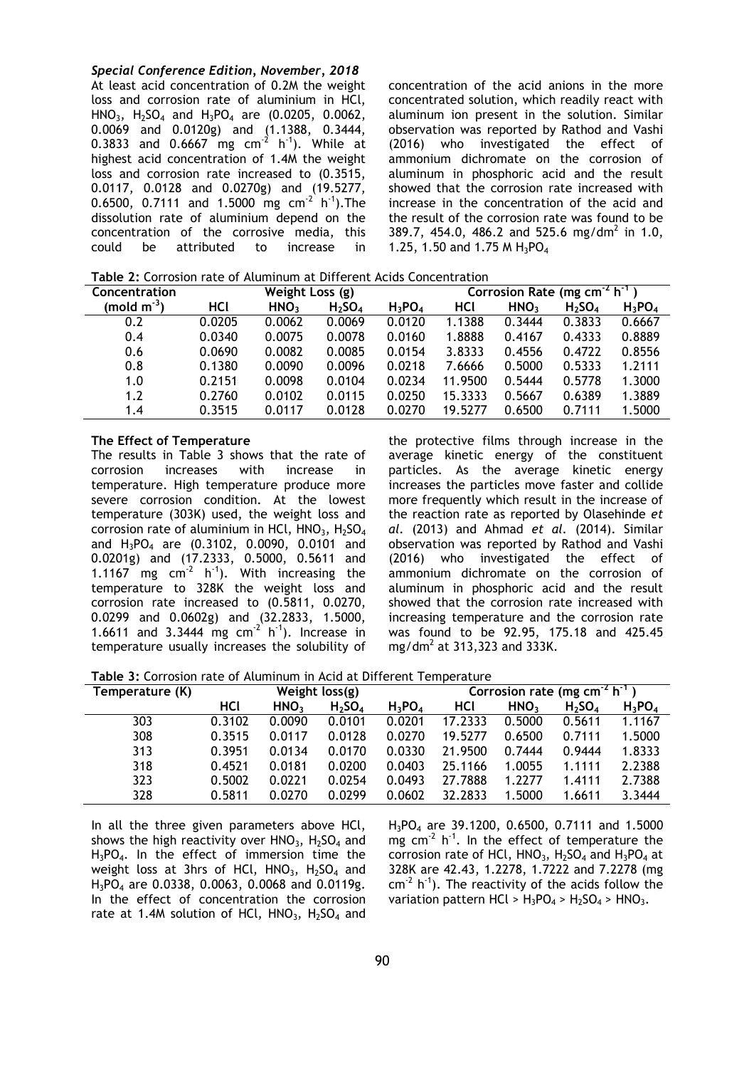*Special Conference Edition, November, 2018*

At least acid concentration of 0.2M the weight loss and corrosion rate of aluminium in HCl, HNO<sub>3</sub>, H<sub>2</sub>SO<sub>4</sub> and H<sub>3</sub>PO<sub>4</sub> are (0.0205, 0.0062, 0.0069 and 0.0120g) and (1.1388, 0.3444, 0.3833 and 0.6667 mg  $cm<sup>-2</sup>$  h<sup>-1</sup>). While at highest acid concentration of 1.4M the weight loss and corrosion rate increased to (0.3515, 0.0117, 0.0128 and 0.0270g) and (19.5277, 0.6500, 0.7111 and 1.5000 mg  $cm^{-2}$  h<sup>-1</sup>). The dissolution rate of aluminium depend on the concentration of the corrosive media, this could be attributed to increase in concentration of the acid anions in the more concentrated solution, which readily react with aluminum ion present in the solution. Similar observation was reported by Rathod and Vashi (2016) who investigated the effect of ammonium dichromate on the corrosion of aluminum in phosphoric acid and the result showed that the corrosion rate increased with increase in the concentration of the acid and the result of the corrosion rate was found to be 389.7, 454.0, 486.2 and 525.6 mg/dm<sup>2</sup> in 1.0, 1.25, 1.50 and 1.75 M  $H_3PO_4$ 

**Table 2:** Corrosion rate of Aluminum at Different Acids Concentration

| Concentration | Weight Loss (g) |                  |                                | Corrosion Rate (mg cm $^{-2}$ h <sup>-1</sup> |         |                  |                                |           |
|---------------|-----------------|------------------|--------------------------------|-----------------------------------------------|---------|------------------|--------------------------------|-----------|
| $(mod m-3)$   | HCl             | HNO <sub>3</sub> | H <sub>2</sub> SO <sub>4</sub> | $H_3PO_4$                                     | HCl     | HNO <sub>3</sub> | H <sub>2</sub> SO <sub>4</sub> | $H_3PO_4$ |
| 0.2           | 0.0205          | 0.0062           | 0.0069                         | 0.0120                                        | 1.1388  | 0.3444           | 0.3833                         | 0.6667    |
| 0.4           | 0.0340          | 0.0075           | 0.0078                         | 0.0160                                        | 1.8888  | 0.4167           | 0.4333                         | 0.8889    |
| 0.6           | 0.0690          | 0.0082           | 0.0085                         | 0.0154                                        | 3.8333  | 0.4556           | 0.4722                         | 0.8556    |
| 0.8           | 0.1380          | 0.0090           | 0.0096                         | 0.0218                                        | 7.6666  | 0.5000           | 0.5333                         | 1.2111    |
| 1.0           | 0.2151          | 0.0098           | 0.0104                         | 0.0234                                        | 11.9500 | 0.5444           | 0.5778                         | 1.3000    |
| 1.2           | 0.2760          | 0.0102           | 0.0115                         | 0.0250                                        | 15.3333 | 0.5667           | 0.6389                         | 1.3889    |
| 1.4           | 0.3515          | 0.0117           | 0.0128                         | 0.0270                                        | 19.5277 | 0.6500           | 0.7111                         | 1.5000    |

#### **The Effect of Temperature**

The results in Table 3 shows that the rate of corrosion increases with increase in temperature. High temperature produce more severe corrosion condition. At the lowest temperature (303K) used, the weight loss and corrosion rate of aluminium in HCl,  $HNO<sub>3</sub>$ ,  $H<sub>2</sub>SO<sub>4</sub>$ and H<sub>3</sub>PO<sub>4</sub> are (0.3102, 0.0090, 0.0101 and 0.0201g) and (17.2333, 0.5000, 0.5611 and 1.1167 mg  $cm<sup>-2</sup>$  h<sup>-1</sup>). With increasing the temperature to 328K the weight loss and corrosion rate increased to (0.5811, 0.0270, 0.0299 and 0.0602g) and (32.2833, 1.5000, 1.6611 and 3.3444 mg  $cm^{-2}$  h<sup>-1</sup>). Increase in temperature usually increases the solubility of

the protective films through increase in the average kinetic energy of the constituent particles. As the average kinetic energy increases the particles move faster and collide more frequently which result in the increase of the reaction rate as reported by Olasehinde *et al.* (2013) and Ahmad *et al.* (2014). Similar observation was reported by Rathod and Vashi (2016) who investigated the effect of ammonium dichromate on the corrosion of aluminum in phosphoric acid and the result showed that the corrosion rate increased with increasing temperature and the corrosion rate was found to be 92.95, 175.18 and 425.45 mg/dm<sup>2</sup> at 313,323 and 333K.

**Table 3:** Corrosion rate of Aluminum in Acid at Different Temperature

| Temperature (K) | Weight $loss(g)$ |                  |                                |           | Corrosion rate (mg cm <sup>-2</sup> $\overline{h}^T$ |                  |                                |           |
|-----------------|------------------|------------------|--------------------------------|-----------|------------------------------------------------------|------------------|--------------------------------|-----------|
|                 | HCl              | HNO <sub>3</sub> | H <sub>2</sub> SO <sub>4</sub> | $H_3PO_4$ | HCl                                                  | HNO <sub>3</sub> | H <sub>2</sub> SO <sub>4</sub> | $H_3PO_4$ |
| 303             | 0.3102           | 0.0090           | 0.0101                         | 0.0201    | 17.2333                                              | 0.5000           | 0.5611                         | 1.1167    |
| 308             | 0.3515           | 0.0117           | 0.0128                         | 0.0270    | 19.5277                                              | 0.6500           | 0.7111                         | 1.5000    |
| 313             | 0.3951           | 0.0134           | 0.0170                         | 0.0330    | 21.9500                                              | 0.7444           | 0.9444                         | 1.8333    |
| 318             | 0.4521           | 0.0181           | 0.0200                         | 0.0403    | 25.1166                                              | 1.0055           | 1.1111                         | 2.2388    |
| 323             | 0.5002           | 0.0221           | 0.0254                         | 0.0493    | 27.7888                                              | 1.2277           | 1.4111                         | 2.7388    |
| 328             | 0.5811           | 0.0270           | 0.0299                         | 0.0602    | 32.2833                                              | .5000            | 1.6611                         | 3.3444    |

In all the three given parameters above HCl, shows the high reactivity over  $HNO<sub>3</sub>$ , H<sub>2</sub>SO<sub>4</sub> and H3PO4. In the effect of immersion time the weight loss at 3hrs of HCl,  $HNO<sub>3</sub>$ ,  $H<sub>2</sub>SO<sub>4</sub>$  and  $H_3PO_4$  are 0.0338, 0.0063, 0.0068 and 0.0119g. In the effect of concentration the corrosion rate at 1.4M solution of HCl,  $HNO<sub>3</sub>$ ,  $H<sub>2</sub>SO<sub>4</sub>$  and H<sub>3</sub>PO<sub>4</sub> are 39.1200, 0.6500, 0.7111 and 1.5000 mg cm $^{-2}$  h<sup>-1</sup>. In the effect of temperature the corrosion rate of HCl,  $HNO<sub>3</sub>$ ,  $H<sub>2</sub>SO<sub>4</sub>$  and  $H<sub>3</sub>PO<sub>4</sub>$  at 328K are 42.43, 1.2278, 1.7222 and 7.2278 (mg  $cm<sup>-2</sup> h<sup>-1</sup>$ ). The reactivity of the acids follow the variation pattern HCl >  $H_3PO_4$  >  $H_2SO_4$  > HNO<sub>3</sub>.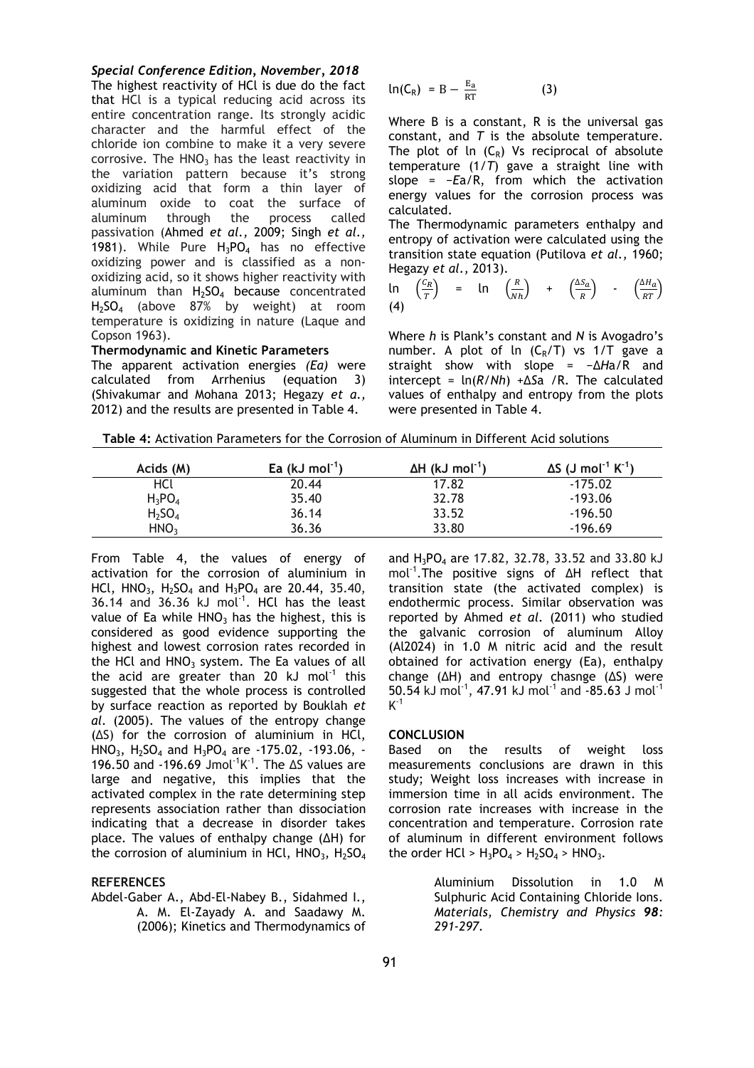### *Special Conference Edition, November, 2018*

The highest reactivity of HCl is due do the fact that HCl is a typical reducing acid across its entire concentration range. Its strongly acidic character and the harmful effect of the chloride ion combine to make it a very severe corrosive. The  $HNO<sub>3</sub>$  has the least reactivity in the variation pattern because it's strong oxidizing acid that form a thin layer of aluminum oxide to coat the surface of aluminum through the process called passivation (Ahmed *et al.,* 2009; Singh *et al.,* 1981). While Pure  $H_3PO_4$  has no effective oxidizing power and is classified as a nonoxidizing acid, so it shows higher reactivity with aluminum than  $H_2SO_4$  because concentrated H2SO4 (above 87% by weight) at room temperature is oxidizing in nature (Laque and Copson 1963).

#### **Thermodynamic and Kinetic Parameters**

The apparent activation energies *(Ea)* were calculated from Arrhenius (equation 3) (Shivakumar and Mohana 2013; Hegazy *et a.,* 2012) and the results are presented in Table 4.

$$
\ln(C_R) = B - \frac{E_a}{RT}
$$
 (3)

Where B is a constant, R is the universal gas constant, and *T* is the absolute temperature. The plot of  $\ln$  (C<sub>R</sub>) Vs reciprocal of absolute temperature (1/*T*) gave a straight line with slope = −*E*a/R, from which the activation energy values for the corrosion process was calculated.

The Thermodynamic parameters enthalpy and entropy of activation were calculated using the transition state equation (Putilova *et al.,* 1960; Hegazy *et al.,* 2013).

$$
\ln\left(\frac{C_R}{T}\right) = \ln\left(\frac{R}{Nh}\right) + \left(\frac{\Delta S_a}{R}\right) - \left(\frac{\Delta H_a}{RT}\right)
$$
\n(4)

Where *h* is Plank's constant and *N* is Avogadro's number. A plot of ln  $(C_R/T)$  vs 1/T gave a straight show with slope = −∆*H*a/R and  $intercept = ln(R/Nh) + \Delta Sa / R$ . The calculated values of enthalpy and entropy from the plots were presented in Table 4.

 **Table 4:** Activation Parameters for the Corrosion of Aluminum in Different Acid solutions

| Acids (M)                      | Ea (kJ mol <sup>-1</sup> ) | $\Delta H$ (kJ mol <sup>-1</sup> ) | $\Delta S$ (J mol <sup>-1</sup> K <sup>-1</sup> ) |
|--------------------------------|----------------------------|------------------------------------|---------------------------------------------------|
| HCl                            | 20.44                      | 17.82                              | $-175.02$                                         |
| $H_3PO_4$                      | 35.40                      | 32.78                              | $-193.06$                                         |
| H <sub>2</sub> SO <sub>4</sub> | 36.14                      | 33.52                              | $-196.50$                                         |
| HNO <sub>3</sub>               | 36.36                      | 33.80                              | $-196.69$                                         |

From Table 4, the values of energy of activation for the corrosion of aluminium in HCl,  $HNO_3$ ,  $H_2SO_4$  and  $H_3PO_4$  are 20.44, 35.40,  $36.14$  and  $36.36$  kJ mol<sup>-1</sup>. HCl has the least value of Ea while  $HNO<sub>3</sub>$  has the highest, this is considered as good evidence supporting the highest and lowest corrosion rates recorded in the HCl and  $HNO<sub>3</sub>$  system. The Ea values of all the acid are greater than 20 kJ mol<sup>-1</sup> this suggested that the whole process is controlled by surface reaction as reported by Bouklah *et al.* (2005). The values of the entropy change  $( \Delta S)$  for the corrosion of aluminium in HCl, HNO<sub>3</sub>, H<sub>2</sub>SO<sub>4</sub> and H<sub>3</sub>PO<sub>4</sub> are -175.02, -193.06, -196.50 and -196.69 Jmol<sup>-1</sup>K<sup>-1</sup>. The  $\Delta S$  values are large and negative, this implies that the activated complex in the rate determining step represents association rather than dissociation indicating that a decrease in disorder takes place. The values of enthalpy change  $(∆H)$  for the corrosion of aluminium in HCl,  $HNO<sub>3</sub>$ ,  $H<sub>2</sub>SO<sub>4</sub>$ 

### **REFERENCES**

Abdel-Gaber A., Abd-El-Nabey B., Sidahmed I., A. M. El-Zayady A. and Saadawy M. (2006); Kinetics and Thermodynamics of and  $H_3PO_4$  are 17.82, 32.78, 33.52 and 33.80 kJ mol<sup>-1</sup>. The positive signs of  $\Delta H$  reflect that transition state (the activated complex) is endothermic process. Similar observation was reported by Ahmed *et al.* (2011) who studied the galvanic corrosion of aluminum Alloy (Al2024) in 1.0 M nitric acid and the result obtained for activation energy (Ea), enthalpy change ( $\Delta H$ ) and entropy chasnge ( $\Delta S$ ) were  $50.54$  kJ mol<sup>-1</sup>, 47.91 kJ mol<sup>-1</sup> and -85.63 J mol<sup>-1</sup>  $K^{-1}$ 

#### **CONCLUSION**

Based on the results of weight loss measurements conclusions are drawn in this study; Weight loss increases with increase in immersion time in all acids environment. The corrosion rate increases with increase in the concentration and temperature. Corrosion rate of aluminum in different environment follows the order HCl >  $H_3PO_4$  >  $H_2SO_4$  > HNO<sub>3</sub>.

> Aluminium Dissolution in 1.0 M Sulphuric Acid Containing Chloride Ions. *Materials, Chemistry and Physics 98: 291-297.*